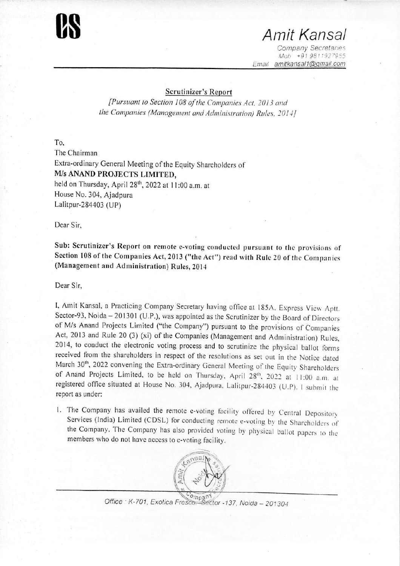

## **08** *Amit Kansai*

*Company Secretanes Moh +919811927955 Email amitkansal1@gmail.com* 

## **Scrutinizer's Report**

*[Pursuant to Section <sup>108</sup> ofthe Companies Act. <sup>2013</sup> and the Companies (Management and Administration)* Rules, 2014]

To, The Chairman Extra-ordinary General Meeting of the Equity Shareholders of *Mis* **ANAND PROJECTS LIMITED,** held on Thursday, April 28<sup>th</sup>, 2022 at 11:00 a.m. at House No. 304, Ajadpura Lalitpur-284403 (UP)

Dear Sir,

**Sub: Scrutinizer's Report on remote c-voting** conducted **pursuant** *to* **the** provisions of **Section 108 of the Companies Act, 2013 ("the Act")** read with **Rule** 20 of the Companies **(Management and Administration) Rules, 2014**

Dear Sir,

I, Amit Kansai, <sup>a</sup> Practicing Company Secretary having office at 185A. Express View Aptt. Sector-93, Noida- 201301 (U.P.), was appointed as the Scrutinizer by the Board of Directors of *Mis* Anand Projects Limited ("the Company") pursuant to the provisions of Companies Act, 2013 and Rule 20 (3) (xi) of the Companies (Management and Administration) Rules, 2014, to conduct the electronic voting process and to scrutinize the physical ballot forms received from the shareholders in respect of the resolutions as set out in the Notice dated March 30<sup>th</sup>, 2022 convening the Extra-ordinary General Meeting of the Equity Shareholders of Anand Projects Limited, to be held on Thursday, April 28<sup>th</sup>, 2022 at 11:00 a.m. at registered office situated at House No. 304, Ajadpura, Lalitpur-284403 (U.P). <sup>I</sup> submit the report as under:

I. The Company has availed the remote e-voting facility offered by Central Depositor) Services (India) Limited (CDSL) for conducting remote e-voting by the Shareholders of the Company. The Company has also provided voting by physical ballot papers to the members who do not have access to e-voting facility.



*Office K-701, Exotica FrescoSector -13*7, *Noda - <sup>201304</sup>*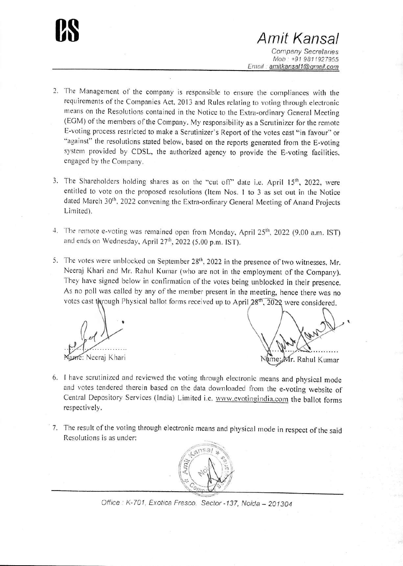**CS** *Amit Kansai Company Secretanes Moh +91 9811927955 Email. amitkansal1@qmail.com*

- 2. The Management of the company is responsible to ensure the compliances with the requirements of the Companies Act, 2013 and Rules relating to voting through electronic means on the Resolutions contained in the Notice to the Extra-ordinary General Meeting (EGM) of the members of the Company. My responsibility as <sup>a</sup> Scrutinizer for the remote E-voting process restricted to make <sup>a</sup> Scrutinizer's Report of the votes cast "in favour" or "against" the resolutions stated below. based on the reports generated from the E-voting system provided by CDSL, the authorized agency to provide the E-voting facilities, engaged by the Company.
- 3. The Shareholders holding shares as on the "cut off" date i.e. April 15<sup>th</sup>, 2022, were entitled to vote on the proposed resolutions (Item Nos. <sup>I</sup> to <sup>3</sup> as set out in the Notice dated March 30", 2022 convening the Extra-ordinary General Meeting of Anand Projects Limited).
- 4. The remote e-voting was remained open from Monday, April 25<sup>th</sup>, 2022 (9.00 a.m. IST) and ends on Wednesday, April 27<sup>th</sup>, 2022 (5.00 p.m. IST).
- 5. The votes were unblocked on September  $28<sup>th</sup>$ , 2022 in the presence of two witnesses, Mr. Neeraj Khari and Mr. Rahul Kumar (who are not in the employment of the Company). They have signed below in confirmation of the votes being unblocked in their presence. As no poll was called by any of the member present in the meeting, hence there was no votes cast through Physical ballot forms received up to April  $28^{th}$ ,  $2022$  were considered.

*%:* ame: Neeraj Khari

t Ár. Rahul Kumar

- 6. <sup>I</sup> have scrutinized and reviewed the voting through electronic means and physical mode and votes tendered therein based on the data downloaded from the e-voting website of Central Depository Services (India) Limited i.e. www.evotingindia.com the ballot forms respectively.
- 7. The result of the voting through electronic means and physical mode in respect of the said Resolutions is as under:



*Office K-701, Exotica Fresco. Sector -137, Noida - 201304*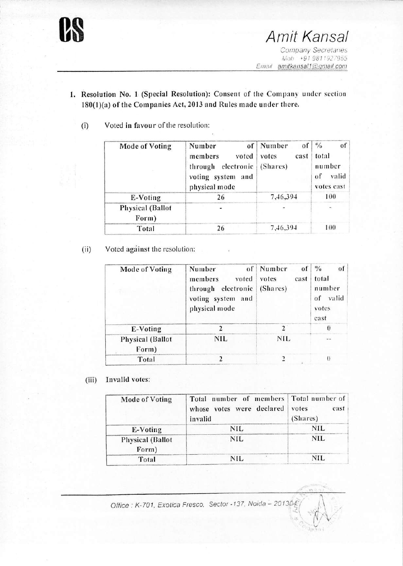

- 1. Resolution No. 1 (Special Resolution): Consent of the Company under section 180(1)(a) of the Companies Act, 2013 and Rules made under there.
	- $^{0}/_{0}$ **Mode of Voting** Number of Number of of total members voted votes cast through electronic (Shares) number voting system and of valid physical mode votes cast E-Voting 26 7,46,394 100 **Physical** (Ballot  $\ddot{\phantom{0}}$  $\tilde{\phantom{a}}$ Form) 7,46,394 100 Total 26
	- Voted in favour of the resolution:  $(i)$

Voted against the resolution:  $(ii)$ 

| Mode of Voting                   | of<br>Number<br>members<br>voted<br>through electronic<br>voting system and<br>physical mode | Number<br>$\overline{0}$<br>votes<br>cast<br>(Shares) | $\frac{0}{10}$<br>of<br>total<br>number<br>of valid<br>votes<br>cast |
|----------------------------------|----------------------------------------------------------------------------------------------|-------------------------------------------------------|----------------------------------------------------------------------|
| E-Voting                         |                                                                                              | $\mathfrak{D}$                                        | $\theta$                                                             |
| <b>Physical (Ballot</b><br>Form) | NIL                                                                                          | <b>NIL</b>                                            |                                                                      |
| Total                            |                                                                                              | 7                                                     | $\theta$                                                             |

Invalid votes:  $(iii)$ 

| Mode of Voting                   | Total number of members   Total number of<br>whose votes were declared<br>invalid | cast  <br>votes<br>(Shares) |
|----------------------------------|-----------------------------------------------------------------------------------|-----------------------------|
| E-Voting                         | NIL                                                                               | <b>NIL</b>                  |
| <b>Physical (Ballot</b><br>Form) | <b>NIL</b>                                                                        | <b>NIL</b>                  |
| Total                            | <b>NIL</b>                                                                        | <b>NIL</b>                  |

Office: K-701, Exotica Fresco, Sector -137, Noida - 201304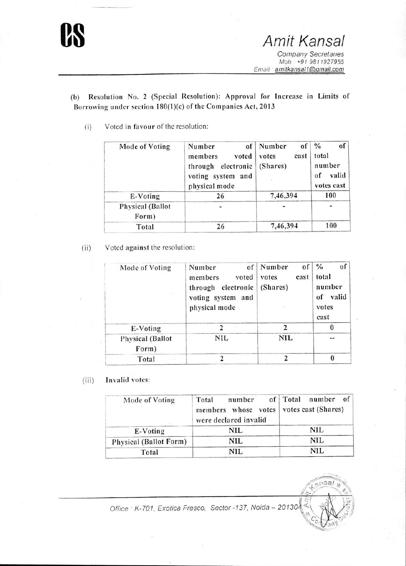

*Ernail · amitkansal1@gmail.com*

(b) Resolution No. <sup>2</sup> (Special Resolution): Approval for Increase in Limits of Borrowing under section 180(1)(c) of the Companies Act, 2013

( i) Voted in favour of the resolution:

| Mode of Voting                   | Number<br>of <sub>1</sub><br>members<br>voted<br>through electronic<br>voting system and<br>physical mode | Number<br><sub>of</sub><br>votes<br>cast<br>(Shares) | $\frac{0}{0}$<br>of<br>total<br>number<br>valid<br>of<br>votes cast |
|----------------------------------|-----------------------------------------------------------------------------------------------------------|------------------------------------------------------|---------------------------------------------------------------------|
| E-Voting                         | 26                                                                                                        | 7,46,394                                             | 100                                                                 |
| <b>Physical</b> (Ballot<br>Form) |                                                                                                           |                                                      |                                                                     |
| Total                            | 26                                                                                                        | 7,46,394                                             | 100                                                                 |

(ii) Voted against the resolution:

| Mode of Voting                   | of<br>Number<br>members<br>voted<br>through electronic<br>voting system and<br>physical mode | Number<br>of<br>votes<br>cast<br>(Shares) | $\frac{0}{0}$<br>of<br>total<br>number<br>of valid<br>votes<br>cast |
|----------------------------------|----------------------------------------------------------------------------------------------|-------------------------------------------|---------------------------------------------------------------------|
| E-Voting                         |                                                                                              | າ                                         |                                                                     |
| <b>Physical</b> (Ballot<br>Form) | NIL                                                                                          | <b>NIL</b>                                |                                                                     |
| Total                            |                                                                                              |                                           |                                                                     |

(iii) Invalid votes:

| Mode of Voting         | number<br>Total<br>members whose votes<br>were declared invalid | of Total number of<br>votes cast (Shares) |
|------------------------|-----------------------------------------------------------------|-------------------------------------------|
| E-Voting               | NIL                                                             | <b>NIL</b>                                |
| Physical (Ballot Form) | NIL                                                             | <b>NIL</b>                                |
| Total                  | NIL.                                                            | NIL                                       |

*I /*

 $\tilde{\lambda}$ 

 $65n<sub>2</sub>$ 

*Office K-701, Exotica Fresco. Sector -137, Nida - <sup>20130</sup>*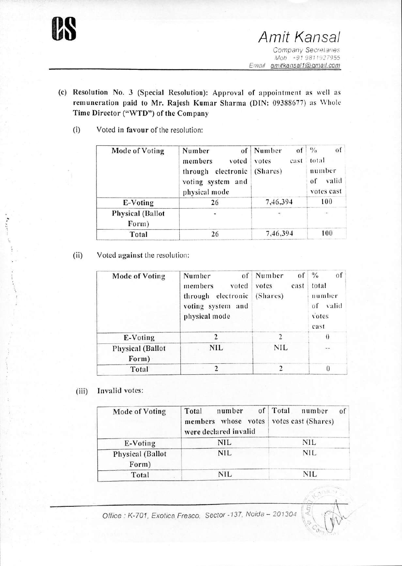

- (c) Resolution No. <sup>3</sup> (Special Resolution): Approval of appointment as well as remuneration paid to Mr. Rajesh Kumar Sharma (DIN: 09388677) as Whole Time Director ("WTD") of the Company
	- (i) Voted in favour of the resolution:

| Mode of Voting                   | Number<br>of<br>members<br>voted<br>through electronic<br>voting system and<br>physical mode | Number<br>$\Omega$<br>votes<br>cast<br>(Shares) | $\frac{0}{a}$<br>of<br>total<br>number<br>valid<br>of<br>votes cast |
|----------------------------------|----------------------------------------------------------------------------------------------|-------------------------------------------------|---------------------------------------------------------------------|
| E-Voting                         | 26                                                                                           | 7,46,394                                        | 100                                                                 |
| <b>Physical</b> (Ballot<br>Form) |                                                                                              |                                                 |                                                                     |
| Total                            | 26                                                                                           | 7,46,394                                        | 100                                                                 |

(ii) Voted against the resolution:

| <b>Mode of Voting</b>            | of<br>Number<br>members<br>voted<br>electronic<br>through<br>voting system and<br>physical mode | Number<br>οf<br>votes<br>cast<br>(Shares) | $^{0}/_{0}$<br>of<br>total<br>number<br>valid<br>0 <sup>f</sup><br>votes<br>cast |
|----------------------------------|-------------------------------------------------------------------------------------------------|-------------------------------------------|----------------------------------------------------------------------------------|
| E-Voting                         | 2                                                                                               | $\overline{2}$                            | $\theta$                                                                         |
| <b>Physical (Ballot</b><br>Form) | <b>NIL</b>                                                                                      | <b>NIL</b>                                |                                                                                  |
| Total                            | $\overline{2}$                                                                                  |                                           | $\theta$                                                                         |

(iii) Invalid votes:

| Mode of Voting                   | Total<br>number<br>members whose votes<br>were declared invalid | of   Total<br>number<br>0 <sup>1</sup><br>votes cast (Shares) |
|----------------------------------|-----------------------------------------------------------------|---------------------------------------------------------------|
| E-Voting                         | <b>NIL</b>                                                      | NIL                                                           |
| <b>Physical (Ballot</b><br>Form) | <b>NIL</b>                                                      | <b>NIL</b>                                                    |
| Total                            | <b>NIL</b>                                                      | NH.                                                           |

*Office ' K-701, Exotica Fresco. Sector -137, Noida -* 20130-4